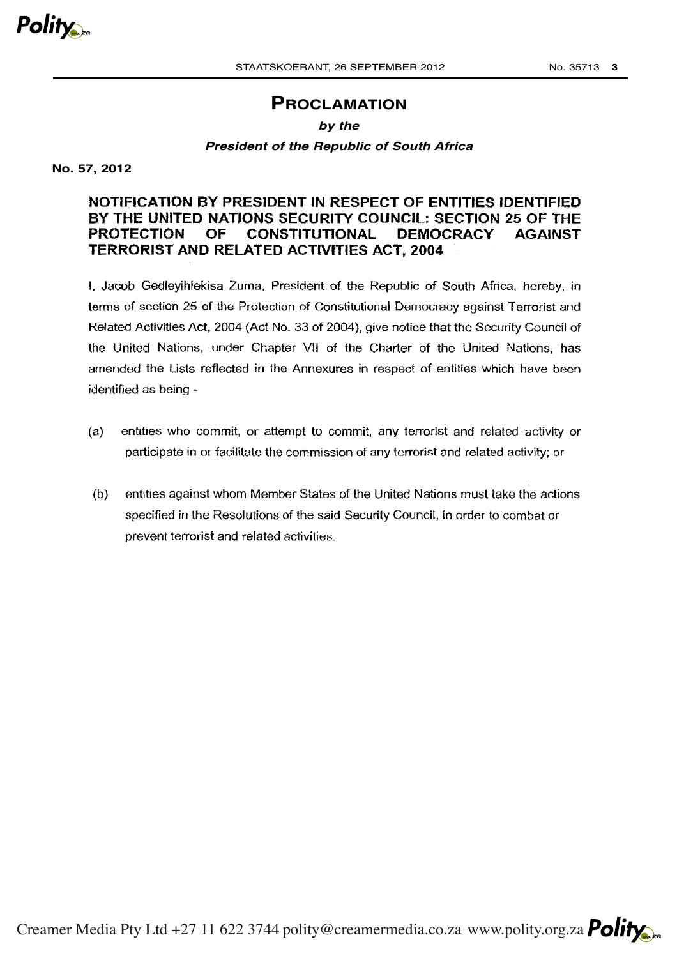

# **PROCLAMATION**

## *by the*

## *President of the Republic of South Africa*

**No. 57, 2012**

## **NOTIFICATION BY PRESIDENT IN RESPECT OF ENTITIES IDENTIFIED BY THE UNITED NATIONS SECURITY COUNCIL: SECTION 25 OF THE PROTECTION . OF CONSTITUTIONAL DEMOCRACY AGAINST TERRORIST AND RELATED ACTIVITIES ACT, 2004**

I. Jacob Gedleyihlekisa Zuma, President of the Republic of South Africa, hereby, in terms of section 25 of the Protection of Constitutional Democracy against Terrorist and Related Activities Act, 2004 (Act No. 33 of 2004), give notice that the Security Council of the United Nations, under Chapter VII of the Charter of the United Nations, has amended the Lists reflected in the Annexures in respect of entities which have been identified as being -

- (a) entities who commit, or attempt to commit, any terrorist and related activity or participate in or facilitate the commission of any terrorist and related activity; or
- (b) entities against whom Member States of the United Nations must take the actions specified in the Resolutions of the said Security Council, in order to combat or prevent terrorist and related activities.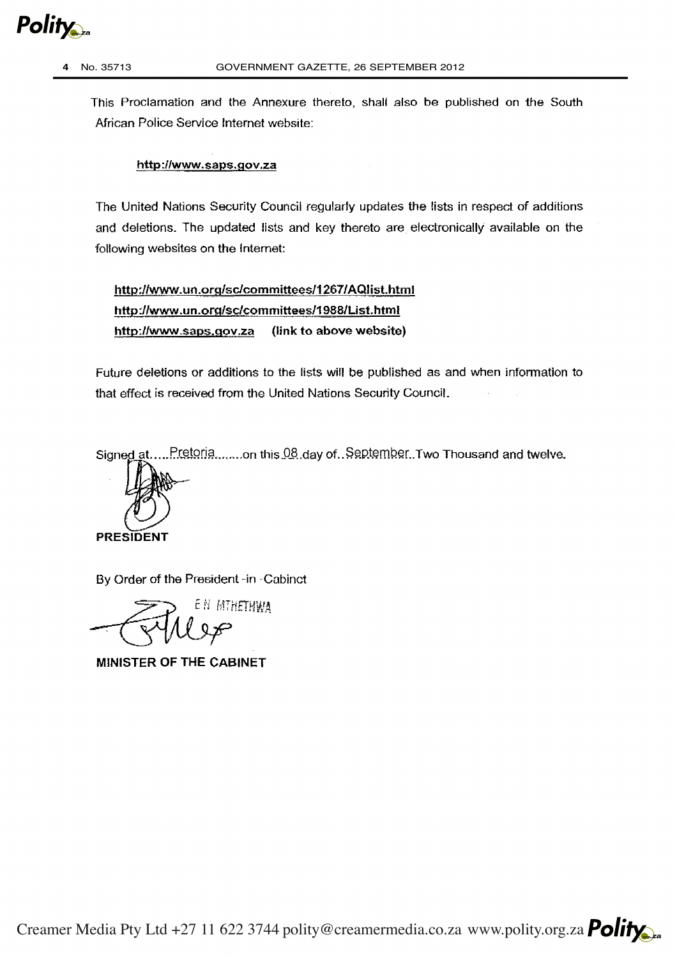

This Proclamation and the Annexure thereto, shall also be published on the South African Police Service Internet website:

## http://www.saps.gov.za

The United Nations Security Council regularly updates the lists in respect of additions and deletions. The updated lists and key thereto are electronically available on the following websites on the Internet:

http://www.un.org/sc/committees/1267/AQlist.html http://www.un.org/sc/committees/1988/List.html http:/lwww\_saps.gov.za (link to above website)

Future deletions or additions to the fists will be published as and when information to that effect is received from the United Nations Security Council.

Signed at..... Pretoria ........ on this 08.day of .. September. Two Thousand and twelve.



By Order of the President -in -Cabinet

EN MIHETHWA

MINISTER OF THE CABINET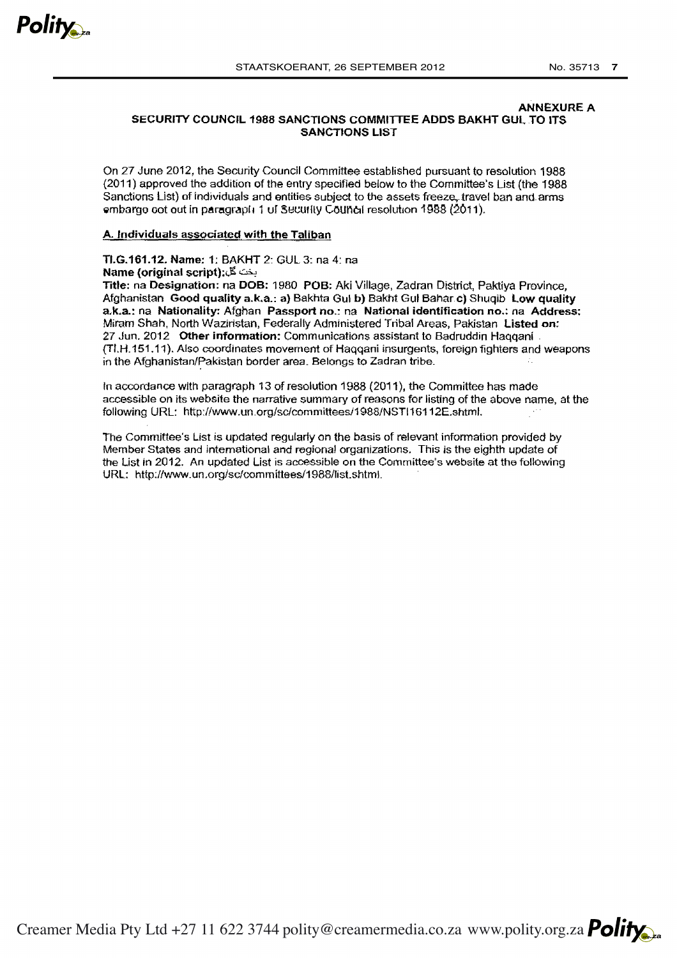

#### ANNEXURE A SECURITY COUNCIL 1988 SANCTIONS COMMITTEE ADDS BAKHT GUL TO ITS SANCTIONS LIST

On 27 June 2012, the Security Council Committee established pursuant to resolution 1988 {2011) approved the addition of the entry specified below to the Committee's Ust {the 1988 Sanctions List) of individuals and entities subject to the assets freeze, travel ban and arms embargo cot out in paragraph 1 uf Security Council resolution 1988 (2011).

#### A. Individuals associated with the Taliban

Tl.G.161.12. Name: 1: BAKHT 2: GUL 3: na 4: na Name (original script): بخث گل

Title: na Designation: na DOS: 1980 POB: Aki Village, Zadran District, Paktiya Province, Afghanistan Good quality a.k.a.: a} Bakhta Gul b) Bakht Gut Bahar c) Shuqib low quality a.k.a.: na Nationality: Afghan Passport no.: na National identification no.: na Address: Miram Shah, North Waziristan, Federally Administered Tribal Areas, Pakistan Listed on: 27 Jun. 2012 Other information: Communications assistant to Badruddin Haqqani {TI.H.151.11). Also coordinates movement of Haqqani insurgents, foreign fighters and weapons in the Afghanistan/Pakistan border area. Belongs to Zadran tribe.

In accordance with paragraph 13 of resolution 1988 (2011 ), the Committee has made accessible on its website the narrative summary of reasons for listing of the above name, at the following URL: http://www.un.org/sc/committeesJ1988/NSTI16112E.shtml.

The Committee's List is updated regularly on the basis of relevant information provided by Member States and international and regional organizations. This is the eighth update of the List in 2012. An updated List is accessible on the Committee's website at the following URL: http://www.un.org/sc!committees/1988/list.shtml.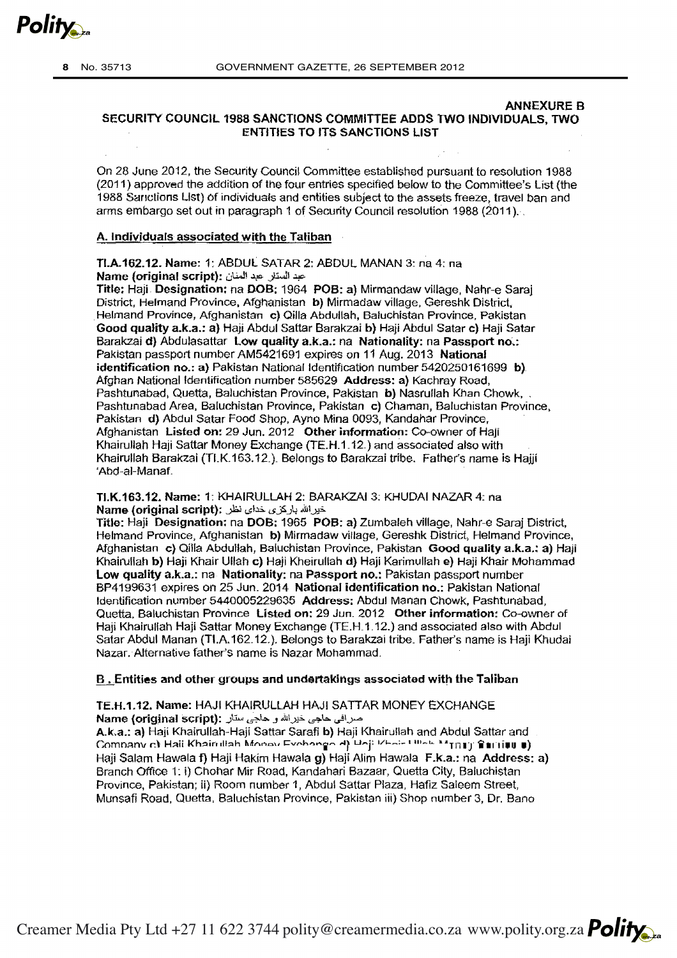

## ANNEXURE B SECURITY COUNCIL 1988 SANCTIONS COMMITTEE ADDS TWO INDIVIDUALS, TWO ENTITIES TO ITS SANCTIONS LIST

On 28 June 2012, the Security Council Committee established pursuant to resolution 1988 (2011) approved the addition of the four entries specified below to the Committee's List (the 1988 Sanctions List) of individuals and entities subject to the assets freeze, travel ban and arms embargo set out in paragraph 1 of Security Council resolution 1988 (2011 ). ·,

#### A. Individuals associated with the Taliban

TI.A.162.12. Name: 1: ABDUL SATAR 2: ABDUL MANAN 3: na 4: na Name (original script): عبد الستار. عبد المنان

Title: Haji. Designation: na DOB: 1964 POB: a) Mirmandaw village, Nahr-e Saraj District, Helmand Province, Afghanistan b) Mirmadaw village, Gereshk District, Helmand Province, Afghanistan c) Qilla Abdullah, Baluchistan Province, Pakistan Good quality a.k.a.: a) Haji Abdul Sattar Barakzai b) Haji Abdul Satar c) Haji Satar Barakzai d) Abdulasattar Low quality a.k.a.: na Nationality: na Passport no.: Pakistan passport number AM5421691 expires on 11 Aug. 2013 National identification no.: a) Pakistan National Identification number 5420250161699 b). Afghan National ldeniification number 585629 Address: a) Kachray Road, Pashtunabad, Quetta, Baluchistan Province, Pakistan b) Nasrullah Khan Chowk, , Pashtunabad Area. Baluchistan Province, Pakistan c) Chaman, Baluchistan Province, Pakistan d) Abdul Satar Food Shop, Ayno Mina 0093, Kandahar Province, Afghanistan Listed on: 29 Jun. 2012 Other information: Co-owner of Haji Khairullah Haji Sattar Money Exchange (TE.H.1.12.) and associated also with Khairullah Barakzai (TLK 163.12\_)\_ Belongs to Barakzai tribe. Father's name is Hajji 'Abd-ai-Manaf\_

TI.K.163.12. Name: 1: KHAIRULLAH 2: BARAKZAI 3: KHUDAI NAZAR 4: na Name (original script): خورالله باركزى خداى نظر

Title: Haji Designation: na DOB: 1965 POB: a) Zumbaleh village, Nahr-e Saraj District, Helmand Province, Afghanistan b) Mirmadaw village, Gereshk District, Helmand Province, Afghanistan c) Qilla Abdullah, Baluchistan Province, Pakistan Good quality a.k.a.: a) Haji Khairullah b) Haji Khair Ullah c) Haji Kheirullah d) Haji Karimullah e) Haji Khair Mohammad Low quality a.k.a.: na Nationality: na Passport no.: Pakistan passport number BP4199631 expires on 25 Jun. 2014 National identification no.: Pakistan National Identification number 5440005229635 Address: Abdul Manan Chowk, Pashtunabad, Quetta, Baluchistan Province Listed on: 29 Jun. 2012 Other information: Co-owner of Haji Khairullah Haji Sattar Money Exchange (TE.H\_1.12.) and associated also with Abdul Satar Abdul Manan (TI.A.162.12.}. Belongs to Barakzai tribe\_ Father's name is Haji Khudai Nazar. Alternative father's name is Nazar Mohammad\_

#### B. Entities and other groups and undertakings associated with the Taliban

TE.H.1.12. Name: HAJI KHAIRULLAH HAJI SATTAR MONEY EXCHANGE Name (original script): صرافي حاجي خيرالله و حاجي ستار

A.k.a.: a) Haji Khairullah-Haji Sattar Sarafi b) Haji Khairu!lah and Abdul Sattar and Comnany c:\ Haii Khairullah Monov Evohongo d) Unji l/boir Ulloh MtBU) 'fintitu #) Haji Salam Hawala f) Haji Hakim Hawala g) Haji Alim Hawala F.k.a.: na Address: a) Branch Office 1: i) Chohar Mir Road, Kandahari Bazaar, Ouetta City, Baluchistan Province, Pakistan; ii) Room number 1, Abdul Sattar Plaza, Hafiz Saleem Street, Munsafi Road, Quetta, Baluchistan Province, Pakistan iii) Shop number 3, Dr. Bano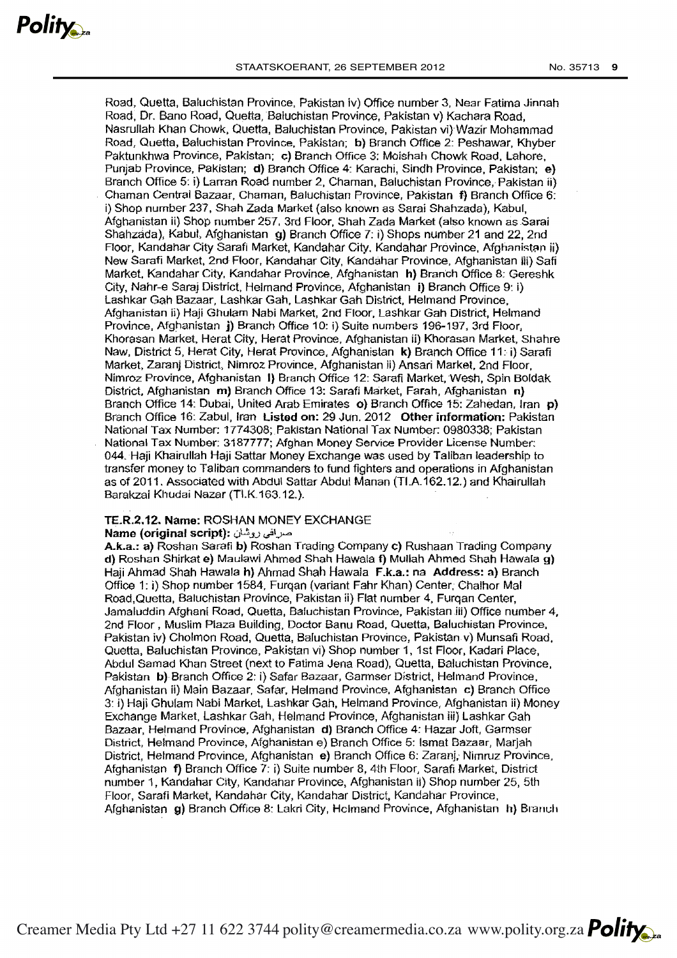Road, Quetta, Baluchistan Province, Pakistan iv) Office number 3, Near Fatima Jinnah Road, Dr. Bano Road, Ouetta, Baluchistan Province, Pakistan v) Kachara Road, Nasrullah Khan Chowk, Ouetta, Baluchistan Province, Pakistan vi)"Wazir Mohammad Road, Quetta, Baluchistan Province, Pakistan; b) Branch Office 2: Peshawar, Khyber Paktunkhwa Province, Pakistan; c) Branch Office 3: Moishah Chowk Road, Lahore, Punjab Province, Pakistan; d) Branch Office 4: Karachi, Sindh Province, Pakistan; e) Branch Office 5: i) Larran Road number 2, Chaman, Baluchistan Province, Pakistan ii) Chaman Central Bazaar, Chaman, Baluchistan Province, Pakistan f) Branch Office 6: i) Shop number 237, Shah Zada Market (also known as Sarai Shahzada), Kabul, Afghanistan ii) Shop number 257. 3rd Floor. Shah Zada Market (also known as Sarai Shahzada), Kabul, Afghanistan g) Branch Office 7: i) Shops number 21 and 22, 2nd Floor, Kandahar City Sarafi Market, Kandahar City, Kandahar Province, Afghanistan ii) New Sarafi Market, 2nd Floor, Kandahar City, Kandahar Province, Afghanistan iii) Safi Market. Kandahar City, Kandahar Province, Afghanistan h) Bran'ch Office 8: Gereshk City, Nahr-e Saraj District, Helmand Province, Afghanistan i) Branch Office 9: i) Lashkar Gah Bazaar, Lashkar Gah. Lashkar Gah District, Helmand Province. Afghanistan ii) Haji Ghulam Nabi Market, 2nd Floor. Lashkar Gah District, Helmand Province, Afghanistan j) Branch Office 10: i) Suite numbers 196-197, 3rd Floor, Khorasan Market, Herat City, Herat Province, Afghanistan ii) Khorasan Market, Shahre Naw. District 5, Herat City, Herat Province, Afghanistan k) Branch Office 11: i) Sarafi Market, Zaranj District, Nimroz Province, Afghanistan ii) Ansari Market, 2nd Floor. Nimroz Province, Afghanistan 1) Branch Office 12: Sarafi Market, Wesh, Spin Boldak District. Afghanistan m) Branch Office 13: Sarafi Market, Farah, Afghanistan n} Branch Office 14: Dubai, United Arab Emirates o} Branch Office 15: Zahedan, Iran p) Branch Office 16: Zabul, Iran Listed on: 29 Jun. 2012 Other information: Pakistan National Tax Number: 1774308; Pakistan National Tax Number: 0980338; Pakistan National Tax Number: 3187777; Afghan Money Service Provider License Number: 044. Haji Khairullah Haji Sattar Money Exchange was used by Taliban leadership to transfer money to Taliban commanders to fund fighters and operations in Afghanistan as of 2011. Associated with AbdUl Sattar Abdul Manan (TI.A.162.12.) and Khairullah Barakzai Khudai Nazar (TI.K.163.12.).

## TE.R.2.12. Name: ROSHAN MONEY EXCHANGE

#### Name (original script); صرافی روشان

A.k.a.: a) Roshan Sarafi b) Roshan Trading Company c) Rushaan Trading Company d) Roshan Shirkat e) Maulawi Ahmed Shah Hawala f) Mullah Ahmed Shah Hawala g) Haii Ahmad Shah Hawala h) Ahmad Shah Hawala F.k.a.: na Address: a) Branch Office 1: i) Shop number 1584, Furqan (variant Fahr Khan) Center, Chalhor Mal Road,Quetta, Baluchistan Province, Pakistan ii) Flat number 4, Furqan Center, Jamaluddin Afghani Road, Ouetta, Baluchistan Province, Pakistan iii) Office number 4, 2nd Floor , Muslim Plaza Building, Doctor Banu Road, Ouetta, Baluahistan Province. Pakistan iv) Cholmon Road, Quetta, Baluchistan Province, Pakistan v) Munsafi Road, Quetta, Baluchistan Province, Pakistan vi) Shop number 1, 1st Floor, Kadari Place, Abdul Samad Khan Street (next to Fatima Jena Road), Ouetta, Baluchistan Province, Pakistan b)· Branch Office 2: i) Safar Bazaar, Garmser District, Helmand Province, Afghanistan ii) Main Bazaar, Safar. Helmand Province. Afghanistan c) Branch Office 3: i) Haji Ghulam Nabi Market, Lashkar Gah, Helmand Province, Afghanistan ii) Money Exchange Market, Lashkar Gah, Helmand Province, Afghanistan iii) Lashkar Gah Bazaar, Helmand Province. Afghanistan d) Branch Office 4: Hazar Joft, Garmser District, Helmand Province, Afghanistan e) Branch Office 5: lsmat Bazaar, Marjah District, Helmand Province, Afghanistan e) Branch Office 6: Zaranj,· Nimruz Province, Afghanistan f) Branch Office 7: i) Suite number 8, 4th Floor, Sarafi Market. District number 1, Kandahar City, Kandahar Province, Afghanistan ii) Shop number 25, 5th Floor, Sarafi Market, Kandahar City, Kandahar District, Kandahar Province, Afghanistan g) Branch Office 8: Lakri City, Holmand Province, Afghanistan h) Branch